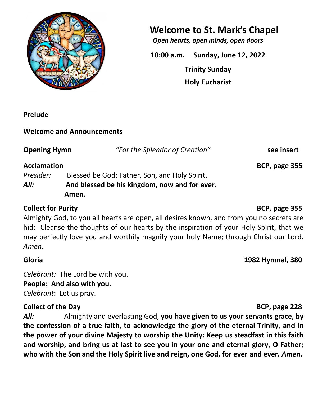

 **Welcome to St. Mark's Chapel**

*Open hearts, open minds, open doors*

**10:00 a.m. Sunday, June 12, 2022**

**Trinity Sunday Holy Eucharist**

# **Prelude**

# **Welcome and Announcements**

| <b>Opening Hymn</b>       | "For the Splendor of Creation"                | see insert    |
|---------------------------|-----------------------------------------------|---------------|
| <b>Acclamation</b>        |                                               | BCP, page 355 |
| Presider:                 | Blessed be God: Father, Son, and Holy Spirit. |               |
| All:                      | And blessed be his kingdom, now and for ever. |               |
|                           | Amen.                                         |               |
| <b>Collect for Purity</b> |                                               | BCP, page 355 |

Almighty God, to you all hearts are open, all desires known, and from you no secrets are hid: Cleanse the thoughts of our hearts by the inspiration of your Holy Spirit, that we may perfectly love you and worthily magnify your holy Name; through Christ our Lord. *Amen*.

# **Gloria 1982 Hymnal, 380**

*Celebrant:* The Lord be with you. **People: And also with you.** *Celebrant*: Let us pray.

# **Collect of the Day BCP, page 228**

*All:* Almighty and everlasting God, **you have given to us your servants grace, by the confession of a true faith, to acknowledge the glory of the eternal Trinity, and in the power of your divine Majesty to worship the Unity: Keep us steadfast in this faith and worship, and bring us at last to see you in your one and eternal glory, O Father; who with the Son and the Holy Spirit live and reign, one God, for ever and ever.** *Amen.*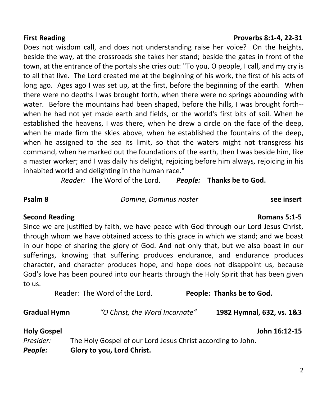### **First Reading Proverbs 8:1-4, 22-31**

Does not wisdom call, and does not understanding raise her voice? On the heights, beside the way, at the crossroads she takes her stand; beside the gates in front of the town, at the entrance of the portals she cries out: "To you, O people, I call, and my cry is to all that live. The Lord created me at the beginning of his work, the first of his acts of long ago. Ages ago I was set up, at the first, before the beginning of the earth. When there were no depths I was brought forth, when there were no springs abounding with water. Before the mountains had been shaped, before the hills, I was brought forth- when he had not yet made earth and fields, or the world's first bits of soil. When he established the heavens, I was there, when he drew a circle on the face of the deep, when he made firm the skies above, when he established the fountains of the deep, when he assigned to the sea its limit, so that the waters might not transgress his command, when he marked out the foundations of the earth, then I was beside him, like a master worker; and I was daily his delight, rejoicing before him always, rejoicing in his inhabited world and delighting in the human race."

*Reader:* The Word of the Lord. *People:* **Thanks be to God.**

**Psalm 8** *Domine, Dominus noster* **see insert**

**Holy Gospel John 16:12-15**

### **Second Reading Romans 5:1-5**

Since we are justified by faith, we have peace with God through our Lord Jesus Christ, through whom we have obtained access to this grace in which we stand; and we boast in our hope of sharing the glory of God. And not only that, but we also boast in our sufferings, knowing that suffering produces endurance, and endurance produces character, and character produces hope, and hope does not disappoint us, because God's love has been poured into our hearts through the Holy Spirit that has been given to us.

Reader: The Word of the Lord. **People: Thanks be to God.**

| "O Christ, the Word Incarnate"<br><b>Gradual Hymn</b> | 1982 Hymnal, 632, vs. 1&3 |
|-------------------------------------------------------|---------------------------|
|-------------------------------------------------------|---------------------------|

| <b>Holy Gospel</b> |                  |
|--------------------|------------------|
| Drocidor:          | $\tau$ ho Holy ( |

*Presider:* The Holy Gospel of our Lord Jesus Christ according to John. *People:* **Glory to you, Lord Christ.**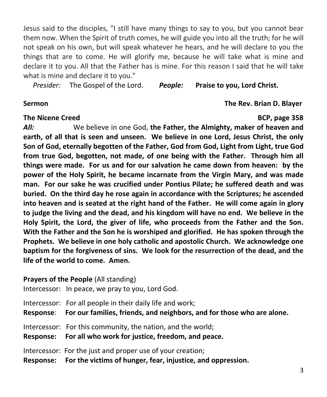Jesus said to the disciples, "I still have many things to say to you, but you cannot bear them now. When the Spirit of truth comes, he will guide you into all the truth; for he will not speak on his own, but will speak whatever he hears, and he will declare to you the things that are to come. He will glorify me, because he will take what is mine and declare it to you. All that the Father has is mine. For this reason I said that he will take what is mine and declare it to you."

*Presider:* The Gospel of the Lord. *People:* **Praise to you, Lord Christ.**

### **Sermon The Rev. Brian D. Blayer**

### **The Nicene Creed BCP, page 358**

*All:*We believe in one God, **the Father, the Almighty, maker of heaven and earth, of all that is seen and unseen. We believe in one Lord, Jesus Christ, the only Son of God, eternally begotten of the Father, God from God, Light from Light, true God from true God, begotten, not made, of one being with the Father. Through him all things were made. For us and for our salvation he came down from heaven: by the power of the Holy Spirit, he became incarnate from the Virgin Mary, and was made man. For our sake he was crucified under Pontius Pilate; he suffered death and was buried. On the third day he rose again in accordance with the Scriptures; he ascended into heaven and is seated at the right hand of the Father. He will come again in glory to judge the living and the dead, and his kingdom will have no end. We believe in the Holy Spirit, the Lord, the giver of life, who proceeds from the Father and the Son. With the Father and the Son he is worshiped and glorified. He has spoken through the Prophets. We believe in one holy catholic and apostolic Church. We acknowledge one baptism for the forgiveness of sins. We look for the resurrection of the dead, and the life of the world to come. Amen.**

### **Prayers of the People** (All standing)

Intercessor: In peace, we pray to you, Lord God.

Intercessor: For all people in their daily life and work;

**Response**: **For our families, friends, and neighbors, and for those who are alone.** 

Intercessor: For this community, the nation, and the world;

**Response: For all who work for justice, freedom, and peace.**

Intercessor: For the just and proper use of your creation;

**Response: For the victims of hunger, fear, injustice, and oppression.**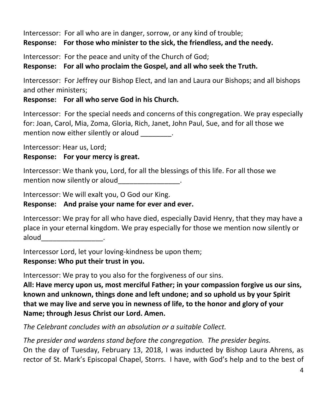Intercessor: For all who are in danger, sorrow, or any kind of trouble;

**Response: For those who minister to the sick, the friendless, and the needy.**

Intercessor: For the peace and unity of the Church of God;

**Response: For all who proclaim the Gospel, and all who seek the Truth.**

Intercessor: For Jeffrey our Bishop Elect, and Ian and Laura our Bishops; and all bishops and other ministers;

**Response: For all who serve God in his Church.**

Intercessor: For the special needs and concerns of this congregation. We pray especially for: Joan, Carol, Mia, Zoma, Gloria, Rich, Janet, John Paul, Sue, and for all those we mention now either silently or aloud

Intercessor: Hear us, Lord;

# **Response: For your mercy is great.**

Intercessor: We thank you, Lord, for all the blessings of this life. For all those we mention now silently or aloud

Intercessor: We will exalt you, O God our King.

# **Response: And praise your name for ever and ever.**

Intercessor: We pray for all who have died, especially David Henry, that they may have a place in your eternal kingdom. We pray especially for those we mention now silently or aloud\_\_\_\_\_\_\_\_\_\_\_\_\_\_\_\_.

Intercessor Lord, let your loving-kindness be upon them;

# **Response: Who put their trust in you.**

Intercessor: We pray to you also for the forgiveness of our sins.

**All: Have mercy upon us, most merciful Father; in your compassion forgive us our sins, known and unknown, things done and left undone; and so uphold us by your Spirit that we may live and serve you in newness of life, to the honor and glory of your Name; through Jesus Christ our Lord. Amen.**

*The Celebrant concludes with an absolution or a suitable Collect.*

*The presider and wardens stand before the congregation. The presider begins.* On the day of Tuesday, February 13, 2018, I was inducted by Bishop Laura Ahrens, as rector of St. Mark's Episcopal Chapel, Storrs. I have, with God's help and to the best of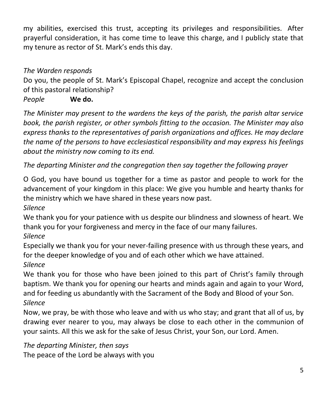my abilities, exercised this trust, accepting its privileges and responsibilities. After prayerful consideration, it has come time to leave this charge, and I publicly state that my tenure as rector of St. Mark's ends this day.

# *The Warden responds*

Do you, the people of St. Mark's Episcopal Chapel, recognize and accept the conclusion of this pastoral relationship?

*People* **We do.**

*The Minister may present to the wardens the keys of the parish, the parish altar service book, the parish register, or other symbols fitting to the occasion. The Minister may also express thanks to the representatives of parish organizations and offices. He may declare the name of the persons to have ecclesiastical responsibility and may express his feelings about the ministry now coming to its end.*

*The departing Minister and the congregation then say together the following prayer*

O God, you have bound us together for a time as pastor and people to work for the advancement of your kingdom in this place: We give you humble and hearty thanks for the ministry which we have shared in these years now past.

*Silence*

We thank you for your patience with us despite our blindness and slowness of heart. We thank you for your forgiveness and mercy in the face of our many failures.

*Silence*

Especially we thank you for your never-failing presence with us through these years, and for the deeper knowledge of you and of each other which we have attained. *Silence*

We thank you for those who have been joined to this part of Christ's family through baptism. We thank you for opening our hearts and minds again and again to your Word, and for feeding us abundantly with the Sacrament of the Body and Blood of your Son. *Silence*

Now, we pray, be with those who leave and with us who stay; and grant that all of us, by drawing ever nearer to you, may always be close to each other in the communion of your saints. All this we ask for the sake of Jesus Christ, your Son, our Lord. Amen.

*The departing Minister, then says* The peace of the Lord be always with you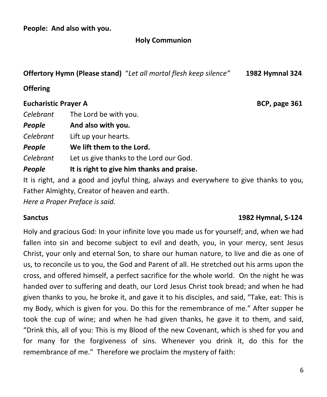**People: And also with you.**

### **Holy Communion**

**Offertory Hymn (Please stand)** "*Let all mortal flesh keep silence"* **1982 Hymnal 324**

### **Offering**

## **Eucharistic Prayer A BCP, page 361**

| People    | It is right to give him thanks and praise. |
|-----------|--------------------------------------------|
| Celebrant | Let us give thanks to the Lord our God.    |
| People    | We lift them to the Lord.                  |
| Celebrant | Lift up your hearts.                       |
| People    | And also with you.                         |
| Celebrant | The Lord be with you.                      |
|           |                                            |

It is right, and a good and joyful thing, always and everywhere to give thanks to you, Father Almighty, Creator of heaven and earth.

*Here a Proper Preface is said.*

## **Sanctus 1982 Hymnal, S-124**

Holy and gracious God: In your infinite love you made us for yourself; and, when we had fallen into sin and become subject to evil and death, you, in your mercy, sent Jesus Christ, your only and eternal Son, to share our human nature, to live and die as one of us, to reconcile us to you, the God and Parent of all. He stretched out his arms upon the cross, and offered himself, a perfect sacrifice for the whole world. On the night he was handed over to suffering and death, our Lord Jesus Christ took bread; and when he had given thanks to you, he broke it, and gave it to his disciples, and said, "Take, eat: This is my Body, which is given for you. Do this for the remembrance of me." After supper he took the cup of wine; and when he had given thanks, he gave it to them, and said, "Drink this, all of you: This is my Blood of the new Covenant, which is shed for you and for many for the forgiveness of sins. Whenever you drink it, do this for the remembrance of me." Therefore we proclaim the mystery of faith: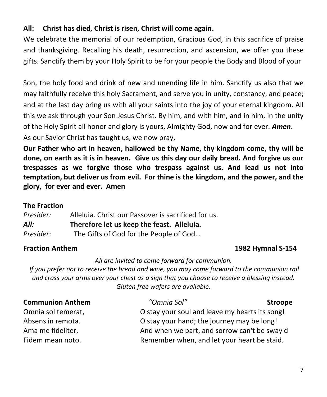# **All: Christ has died, Christ is risen, Christ will come again.**

We celebrate the memorial of our redemption, Gracious God, in this sacrifice of praise and thanksgiving. Recalling his death, resurrection, and ascension, we offer you these gifts. Sanctify them by your Holy Spirit to be for your people the Body and Blood of your

Son, the holy food and drink of new and unending life in him. Sanctify us also that we may faithfully receive this holy Sacrament, and serve you in unity, constancy, and peace; and at the last day bring us with all your saints into the joy of your eternal kingdom. All this we ask through your Son Jesus Christ. By him, and with him, and in him, in the unity of the Holy Spirit all honor and glory is yours, Almighty God, now and for ever. *Amen*. As our Savior Christ has taught us, we now pray,

**Our Father who art in heaven, hallowed be thy Name, thy kingdom come, thy will be done, on earth as it is in heaven. Give us this day our daily bread. And forgive us our trespasses as we forgive those who trespass against us. And lead us not into temptation, but deliver us from evil. For thine is the kingdom, and the power, and the glory, for ever and ever. Amen**

## **The Fraction**

*Presider:* Alleluia. Christ our Passover is sacrificed for us. *All:* **Therefore let us keep the feast. Alleluia.** *Presider*: The Gifts of God for the People of God…

## **Fraction Anthem 1982 Hymnal S-154**

## *All are invited to come forward for communion.*

*If you prefer not to receive the bread and wine, you may come forward to the communion rail and cross your arms over your chest as a sign that you choose to receive a blessing instead. Gluten free wafers are available.*

| "Omnia Sol"                                    | <b>Stroope</b> |
|------------------------------------------------|----------------|
| O stay your soul and leave my hearts its song! |                |
| O stay your hand; the journey may be long!     |                |
| And when we part, and sorrow can't be sway'd   |                |
| Remember when, and let your heart be staid.    |                |
|                                                |                |